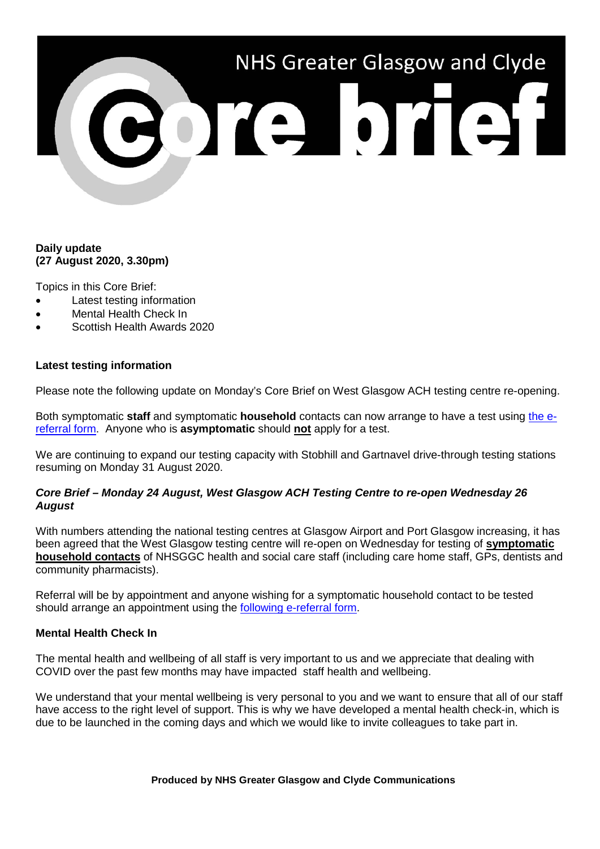# NHS Greater Glasgow and Clyde

# **Daily update (27 August 2020, 3.30pm)**

Topics in this Core Brief:

- Latest testing information
- Mental Health Check In
- Scottish Health Awards 2020

### **Latest testing information**

Please note the following update on Monday's Core Brief on West Glasgow ACH testing centre re-opening.

Both symptomatic **staff** and symptomatic **household** contacts can now arrange to have a test using [the e](https://forms.office.com/Pages/ResponsePage.aspx?id=veDvEDCgykuAnLXmdF5JmgW9YoY5w-BDlHK7ghonYUBURTJBTFE0UEFBN0I2ODU3S0lFNTJJUjYzTiQlQCN0PWcu)[referral form.](https://forms.office.com/Pages/ResponsePage.aspx?id=veDvEDCgykuAnLXmdF5JmgW9YoY5w-BDlHK7ghonYUBURTJBTFE0UEFBN0I2ODU3S0lFNTJJUjYzTiQlQCN0PWcu) Anyone who is **asymptomatic** should **not** apply for a test.

We are continuing to expand our testing capacity with Stobhill and Gartnavel drive-through testing stations resuming on Monday 31 August 2020.

### *Core Brief – Monday 24 August, West Glasgow ACH Testing Centre to re-open Wednesday 26 August*

With numbers attending the national testing centres at Glasgow Airport and Port Glasgow increasing, it has been agreed that the West Glasgow testing centre will re-open on Wednesday for testing of **symptomatic household contacts** of NHSGGC health and social care staff (including care home staff, GPs, dentists and community pharmacists).

Referral will be by appointment and anyone wishing for a symptomatic household contact to be tested should arrange an appointment using the [following e-referral form.](https://forms.office.com/Pages/ResponsePage.aspx?id=veDvEDCgykuAnLXmdF5JmgW9YoY5w-BDlHK7ghonYUBURTJBTFE0UEFBN0I2ODU3S0lFNTJJUjYzTiQlQCN0PWcu)

# **Mental Health Check In**

The mental health and wellbeing of all staff is very important to us and we appreciate that dealing with COVID over the past few months may have impacted staff health and wellbeing.

We understand that your mental wellbeing is very personal to you and we want to ensure that all of our staff have access to the right level of support. This is why we have developed a mental health check-in, which is due to be launched in the coming days and which we would like to invite colleagues to take part in.